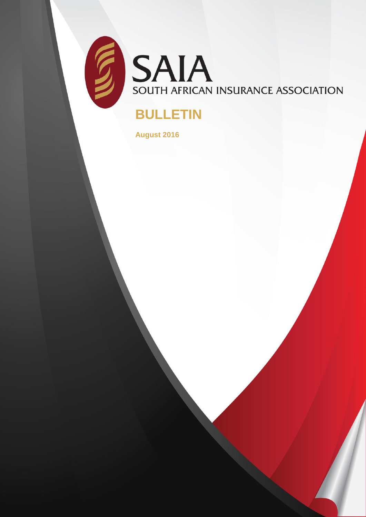

SAIA SOUTH AFRICAN INSURANCE ASSOCIATION

## **BULLETIN**

**August 2016**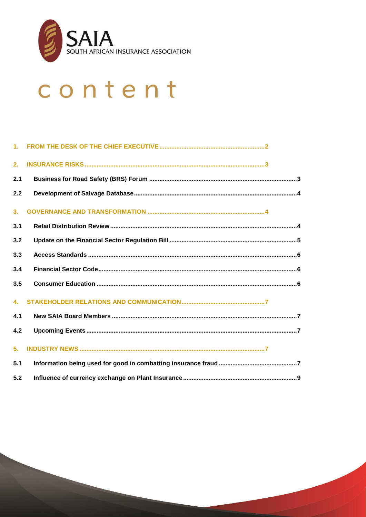

# content

| 2.             |  |
|----------------|--|
| 2.1            |  |
| 2.2            |  |
| 3 <sub>1</sub> |  |
| 3.1            |  |
| 3.2            |  |
| 3.3            |  |
| 3.4            |  |
| 3.5            |  |
| 4.             |  |
| 4.1            |  |
| 4.2            |  |
| 5.             |  |
| 5.1            |  |
| 5.2            |  |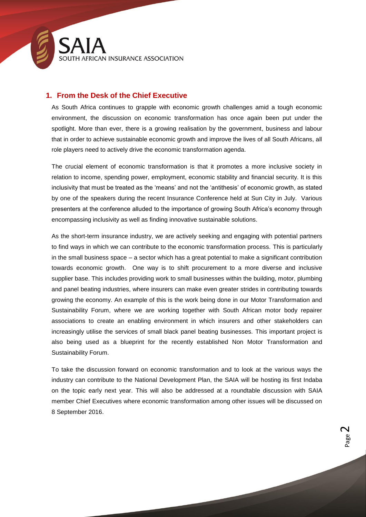

#### <span id="page-2-0"></span>**1. From the Desk of the Chief Executive**

As South Africa continues to grapple with economic growth challenges amid a tough economic environment, the discussion on economic transformation has once again been put under the spotlight. More than ever, there is a growing realisation by the government, business and labour that in order to achieve sustainable economic growth and improve the lives of all South Africans, all role players need to actively drive the economic transformation agenda.

The crucial element of economic transformation is that it promotes a more inclusive society in relation to income, spending power, employment, economic stability and financial security. It is this inclusivity that must be treated as the 'means' and not the 'antithesis' of economic growth, as stated by one of the speakers during the recent Insurance Conference held at Sun City in July. Various presenters at the conference alluded to the importance of growing South Africa's economy through encompassing inclusivity as well as finding innovative sustainable solutions.

As the short-term insurance industry, we are actively seeking and engaging with potential partners to find ways in which we can contribute to the economic transformation process. This is particularly in the small business space – a sector which has a great potential to make a significant contribution towards economic growth. One way is to shift procurement to a more diverse and inclusive supplier base. This includes providing work to small businesses within the building, motor, plumbing and panel beating industries, where insurers can make even greater strides in contributing towards growing the economy. An example of this is the work being done in our Motor Transformation and Sustainability Forum, where we are working together with South African motor body repairer associations to create an enabling environment in which insurers and other stakeholders can increasingly utilise the services of small black panel beating businesses. This important project is also being used as a blueprint for the recently established Non Motor Transformation and Sustainability Forum.

To take the discussion forward on economic transformation and to look at the various ways the industry can contribute to the National Development Plan, the SAIA will be hosting its first Indaba on the topic early next year. This will also be addressed at a roundtable discussion with SAIA member Chief Executives where economic transformation among other issues will be discussed on 8 September 2016.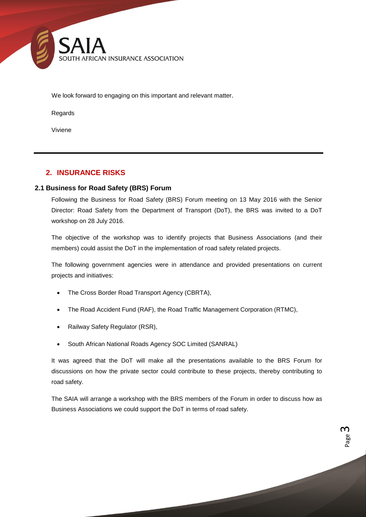

We look forward to engaging on this important and relevant matter.

Regards

Viviene

#### <span id="page-3-0"></span>**2. INSURANCE RISKS**

#### <span id="page-3-1"></span>**2.1 Business for Road Safety (BRS) Forum**

Following the Business for Road Safety (BRS) Forum meeting on 13 May 2016 with the Senior Director: Road Safety from the Department of Transport (DoT), the BRS was invited to a DoT workshop on 28 July 2016.

The objective of the workshop was to identify projects that Business Associations (and their members) could assist the DoT in the implementation of road safety related projects.

The following government agencies were in attendance and provided presentations on current projects and initiatives:

- The Cross Border Road Transport Agency (CBRTA),
- The Road Accident Fund (RAF), the Road Traffic Management Corporation (RTMC),
- Railway Safety Regulator (RSR),
- South African National Roads Agency SOC Limited (SANRAL)

It was agreed that the DoT will make all the presentations available to the BRS Forum for discussions on how the private sector could contribute to these projects, thereby contributing to road safety.

The SAIA will arrange a workshop with the BRS members of the Forum in order to discuss how as Business Associations we could support the DoT in terms of road safety.

> Page ന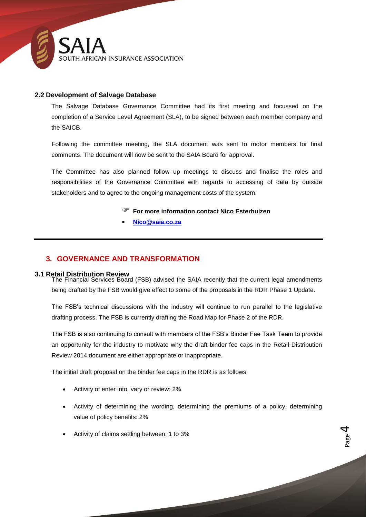

#### <span id="page-4-0"></span>**2.2 Development of Salvage Database**

The Salvage Database Governance Committee had its first meeting and focussed on the completion of a Service Level Agreement (SLA), to be signed between each member company and the SAICB.

Following the committee meeting, the SLA document was sent to motor members for final comments. The document will now be sent to the SAIA Board for approval.

The Committee has also planned follow up meetings to discuss and finalise the roles and responsibilities of the Governance Committee with regards to accessing of data by outside stakeholders and to agree to the ongoing management costs of the system.

- **For more information contact Nico Esterhuizen**
- **[Nico@saia.co.za](mailto:Nico@saia.co.za)**

#### <span id="page-4-1"></span>**3. GOVERNANCE AND TRANSFORMATION**

<span id="page-4-2"></span>**3.1 Retail Distribution Review**  The Financial Services Board (FSB) advised the SAIA recently that the current legal amendments being drafted by the FSB would give effect to some of the proposals in the RDR Phase 1 Update.

The FSB's technical discussions with the industry will continue to run parallel to the legislative drafting process. The FSB is currently drafting the Road Map for Phase 2 of the RDR.

The FSB is also continuing to consult with members of the FSB's Binder Fee Task Team to provide an opportunity for the industry to motivate why the draft binder fee caps in the Retail Distribution Review 2014 document are either appropriate or inappropriate.

The initial draft proposal on the binder fee caps in the RDR is as follows:

- Activity of enter into, vary or review: 2%
- Activity of determining the wording, determining the premiums of a policy, determining value of policy benefits: 2%
- Activity of claims settling between: 1 to 3%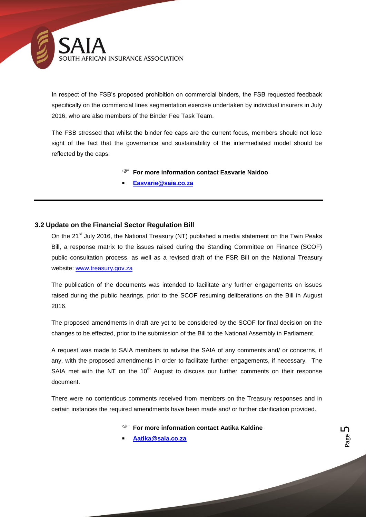

In respect of the FSB's proposed prohibition on commercial binders, the FSB requested feedback specifically on the commercial lines segmentation exercise undertaken by individual insurers in July 2016, who are also members of the Binder Fee Task Team.

The FSB stressed that whilst the binder fee caps are the current focus, members should not lose sight of the fact that the governance and sustainability of the intermediated model should be reflected by the caps.

#### **For more information contact Easvarie Naidoo**

**[Easvarie@saia.co.za](mailto:Easvarie@saia.co.za)**

#### <span id="page-5-0"></span>**3.2 Update on the Financial Sector Regulation Bill**

On the 21<sup>st</sup> July 2016, the National Treasury (NT) published a media statement on the Twin Peaks Bill, a response matrix to the issues raised during the Standing Committee on Finance (SCOF) public consultation process, as well as a revised draft of the FSR Bill on the National Treasury website: [www.treasury.gov.za](http://www.treasury.gov.za/)

The publication of the documents was intended to facilitate any further engagements on issues raised during the public hearings, prior to the SCOF resuming deliberations on the Bill in August 2016.

The proposed amendments in draft are yet to be considered by the SCOF for final decision on the changes to be effected, prior to the submission of the Bill to the National Assembly in Parliament.

A request was made to SAIA members to advise the SAIA of any comments and/ or concerns, if any, with the proposed amendments in order to facilitate further engagements, if necessary. The SAIA met with the NT on the  $10<sup>th</sup>$  August to discuss our further comments on their response document.

There were no contentious comments received from members on the Treasury responses and in certain instances the required amendments have been made and/ or further clarification provided.

**For more information contact Aatika Kaldine**

**[Aatika@saia.co.za](mailto:Aatika@saia.co.za)**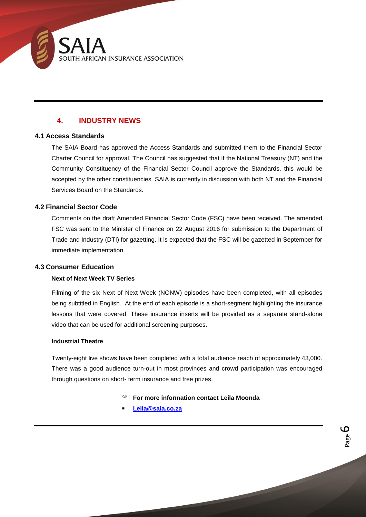

### **4. INDUSTRY NEWS**

#### <span id="page-6-0"></span>**4.1 Access Standards**

The SAIA Board has approved the Access Standards and submitted them to the Financial Sector Charter Council for approval. The Council has suggested that if the National Treasury (NT) and the Community Constituency of the Financial Sector Council approve the Standards, this would be accepted by the other constituencies. SAIA is currently in discussion with both NT and the Financial Services Board on the Standards.

#### <span id="page-6-1"></span>**4.2 Financial Sector Code**

Comments on the draft Amended Financial Sector Code (FSC) have been received. The amended FSC was sent to the Minister of Finance on 22 August 2016 for submission to the Department of Trade and Industry (DTI) for gazetting. It is expected that the FSC will be gazetted in September for immediate implementation.

#### <span id="page-6-2"></span>**4.3 Consumer Education**

#### **Next of Next Week TV Series**

Filming of the six Next of Next Week (NONW) episodes have been completed, with all episodes being subtitled in English. At the end of each episode is a short-segment highlighting the insurance lessons that were covered. These insurance inserts will be provided as a separate stand-alone video that can be used for additional screening purposes.

#### **Industrial Theatre**

Twenty-eight live shows have been completed with a total audience reach of approximately 43,000. There was a good audience turn-out in most provinces and crowd participation was encouraged through questions on short- term insurance and free prizes.

**For more information contact Leila Moonda**

Page 6

**[Leila@saia.co.za](mailto:Leila@saia.co.za)**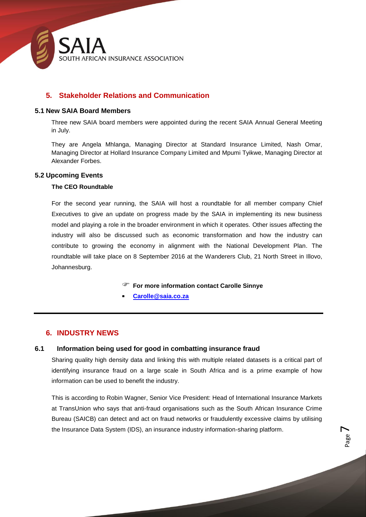

#### <span id="page-7-0"></span>**5. Stakeholder Relations and Communication**

#### <span id="page-7-1"></span>**5.1 New SAIA Board Members**

Three new SAIA board members were appointed during the recent SAIA Annual General Meeting in July.

They are Angela Mhlanga, Managing Director at Standard Insurance Limited, Nash Omar, Managing Director at Hollard Insurance Company Limited and Mpumi Tyikwe, Managing Director at Alexander Forbes.

#### <span id="page-7-2"></span>**5.2 Upcoming Events**

#### **The CEO Roundtable**

For the second year running, the SAIA will host a roundtable for all member company Chief Executives to give an update on progress made by the SAIA in implementing its new business model and playing a role in the broader environment in which it operates. Other issues affecting the industry will also be discussed such as economic transformation and how the industry can contribute to growing the economy in alignment with the National Development Plan. The roundtable will take place on 8 September 2016 at the Wanderers Club, 21 North Street in Illovo, Johannesburg.

**For more information contact Carolle Sinnye**

**[Carolle@saia.co.za](mailto:Carolle@saia.co.za)**

#### <span id="page-7-4"></span><span id="page-7-3"></span>**6. INDUSTRY NEWS**

#### **6.1 Information being used for good in combatting insurance fraud**

Sharing quality high density data and linking this with multiple related datasets is a critical part of identifying insurance fraud on a large scale in South Africa and is a prime example of how information can be used to benefit the industry.

This is according to Robin Wagner, Senior Vice President: Head of International Insurance Markets at TransUnion who says that anti-fraud organisations such as the South African Insurance Crime Bureau (SAICB) can detect and act on fraud networks or fraudulently excessive claims by utilising the Insurance Data System (IDS), an insurance industry information-sharing platform.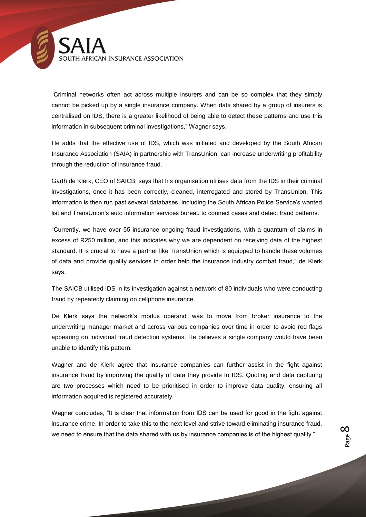

"Criminal networks often act across multiple insurers and can be so complex that they simply cannot be picked up by a single insurance company. When data shared by a group of insurers is centralised on IDS, there is a greater likelihood of being able to detect these patterns and use this information in subsequent criminal investigations," Wagner says.

He adds that the effective use of IDS, which was initiated and developed by the South African Insurance Association (SAIA) in partnership with TransUnion, can increase underwriting profitability through the reduction of insurance fraud.

Garth de Klerk, CEO of SAICB, says that his organisation utilises data from the IDS in their criminal investigations, once it has been correctly, cleaned, interrogated and stored by TransUnion. This information is then run past several databases, including the South African Police Service's wanted list and TransUnion's auto information services bureau to connect cases and detect fraud patterns.

"Currently, we have over 55 insurance ongoing fraud investigations, with a quantum of claims in excess of R250 million, and this indicates why we are dependent on receiving data of the highest standard. It is crucial to have a partner like TransUnion which is equipped to handle these volumes of data and provide quality services in order help the insurance industry combat fraud," de Klerk says.

The SAICB utilised IDS in its investigation against a network of 80 individuals who were conducting fraud by repeatedly claiming on cellphone insurance.

De Klerk says the network's modus operandi was to move from broker insurance to the underwriting manager market and across various companies over time in order to avoid red flags appearing on individual fraud detection systems. He believes a single company would have been unable to identify this pattern.

Wagner and de Klerk agree that insurance companies can further assist in the fight against insurance fraud by improving the quality of data they provide to IDS. Quoting and data capturing are two processes which need to be prioritised in order to improve data quality, ensuring all information acquired is registered accurately.

Wagner concludes, "It is clear that information from IDS can be used for good in the fight against insurance crime. In order to take this to the next level and strive toward eliminating insurance fraud, we need to ensure that the data shared with us by insurance companies is of the highest quality."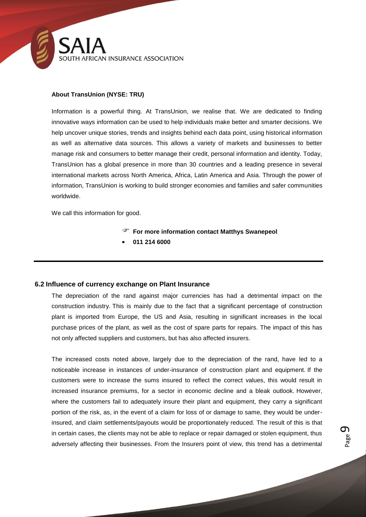

#### **About TransUnion (NYSE: TRU)**

Information is a powerful thing. At TransUnion, we realise that. We are dedicated to finding innovative ways information can be used to help individuals make better and smarter decisions. We help uncover unique stories, trends and insights behind each data point, using historical information as well as alternative data sources. This allows a variety of markets and businesses to better manage risk and consumers to better manage their credit, personal information and identity. Today, TransUnion has a global presence in more than 30 countries and a leading presence in several international markets across North America, Africa, Latin America and Asia. Through the power of information, TransUnion is working to build stronger economies and families and safer communities worldwide.

We call this information for good.

- **For more information contact Matthys Swanepeol**
- **011 214 6000**

#### <span id="page-9-0"></span>**6.2 Influence of currency exchange on Plant Insurance**

The depreciation of the rand against major currencies has had a detrimental impact on the construction industry. This is mainly due to the fact that a significant percentage of construction plant is imported from Europe, the US and Asia, resulting in significant increases in the local purchase prices of the plant, as well as the cost of spare parts for repairs. The impact of this has not only affected suppliers and customers, but has also affected insurers.

The increased costs noted above, largely due to the depreciation of the rand, have led to a noticeable increase in instances of under-insurance of construction plant and equipment. If the customers were to increase the sums insured to reflect the correct values, this would result in increased insurance premiums, for a sector in economic decline and a bleak outlook. However, where the customers fail to adequately insure their plant and equipment, they carry a significant portion of the risk, as, in the event of a claim for loss of or damage to same, they would be underinsured, and claim settlements/payouts would be proportionately reduced. The result of this is that in certain cases, the clients may not be able to replace or repair damaged or stolen equipment, thus adversely affecting their businesses. From the Insurers point of view, this trend has a detrimental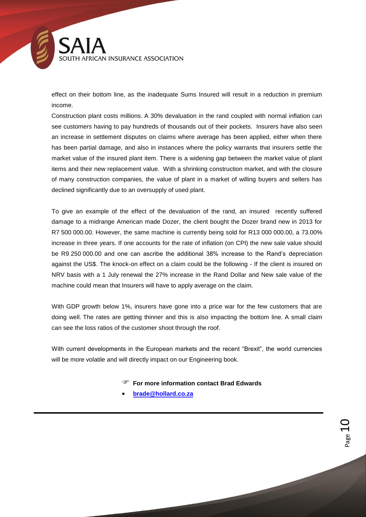SOUTH AFRICAN INSURANCE ASSOCIATION

effect on their bottom line, as the inadequate Sums Insured will result in a reduction in premium income.

Construction plant costs millions. A 30% devaluation in the rand coupled with normal inflation can see customers having to pay hundreds of thousands out of their pockets. Insurers have also seen an increase in settlement disputes on claims where average has been applied, either when there has been partial damage, and also in instances where the policy warrants that insurers settle the market value of the insured plant item. There is a widening gap between the market value of plant items and their new replacement value. With a shrinking construction market, and with the closure of many construction companies, the value of plant in a market of willing buyers and sellers has declined significantly due to an oversupply of used plant.

To give an example of the effect of the devaluation of the rand, an insured recently suffered damage to a midrange American made Dozer, the client bought the Dozer brand new in 2013 for R7 500 000.00. However, the same machine is currently being sold for R13 000 000.00, a 73.00% increase in three years. If one accounts for the rate of inflation (on CPI) the new sale value should be R9 250 000.00 and one can ascribe the additional 38% increase to the Rand's depreciation against the US\$. The knock-on effect on a claim could be the following - If the client is insured on NRV basis with a 1 July renewal the 27% increase in the Rand Dollar and New sale value of the machine could mean that Insurers will have to apply average on the claim.

With GDP growth below 1%, insurers have gone into a price war for the few customers that are doing well. The rates are getting thinner and this is also impacting the bottom line. A small claim can see the loss ratios of the customer shoot through the roof.

With current developments in the European markets and the recent "Brexit", the world currencies will be more volatile and will directly impact on our Engineering book.

- **For more information contact Brad Edwards**
- **[brade@hollard.co.za](mailto:brade@hollard.co.za)**